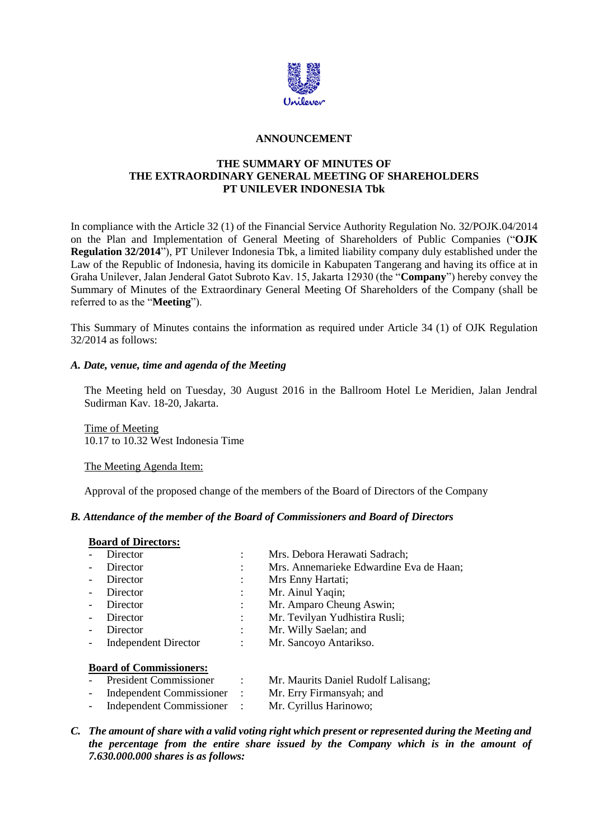

### **ANNOUNCEMENT**

# **THE SUMMARY OF MINUTES OF THE EXTRAORDINARY GENERAL MEETING OF SHAREHOLDERS PT UNILEVER INDONESIA Tbk**

In compliance with the Article 32 (1) of the Financial Service Authority Regulation No. 32/POJK.04/2014 on the Plan and Implementation of General Meeting of Shareholders of Public Companies ("**OJK Regulation 32/2014**"), PT Unilever Indonesia Tbk, a limited liability company duly established under the Law of the Republic of Indonesia, having its domicile in Kabupaten Tangerang and having its office at in Graha Unilever, Jalan Jenderal Gatot Subroto Kav. 15, Jakarta 12930 (the "**Company**") hereby convey the Summary of Minutes of the Extraordinary General Meeting Of Shareholders of the Company (shall be referred to as the "**Meeting**").

This Summary of Minutes contains the information as required under Article 34 (1) of OJK Regulation 32/2014 as follows:

### *A. Date, venue, time and agenda of the Meeting*

The Meeting held on Tuesday, 30 August 2016 in the Ballroom Hotel Le Meridien, Jalan Jendral Sudirman Kav. 18-20, Jakarta.

Time of Meeting 10.17 to 10.32 West Indonesia Time

The Meeting Agenda Item:

Approval of the proposed change of the members of the Board of Directors of the Company

#### *B. Attendance of the member of the Board of Commissioners and Board of Directors*

#### **Board of Directors:**

|                | Director                        | ٠              | Mrs. Debora Herawati Sadrach;           |  |
|----------------|---------------------------------|----------------|-----------------------------------------|--|
|                | Director                        | $\ddot{\cdot}$ | Mrs. Annemarieke Edwardine Eva de Haan; |  |
|                | Director                        | $\ddot{\cdot}$ | Mrs Enny Hartati;                       |  |
|                | Director                        | $\ddot{\cdot}$ | Mr. Ainul Yaqin;                        |  |
| $\blacksquare$ | Director                        | $\ddot{\cdot}$ | Mr. Amparo Cheung Aswin;                |  |
|                | Director                        | $\ddot{\cdot}$ | Mr. Tevilyan Yudhistira Rusli;          |  |
|                | Director                        | $\ddot{\cdot}$ | Mr. Willy Saelan; and                   |  |
| L,             | <b>Independent Director</b>     | $\ddot{\cdot}$ | Mr. Sancoyo Antarikso.                  |  |
|                | <b>Board of Commissioners:</b>  |                |                                         |  |
|                | <b>President Commissioner</b>   | $\ddot{\cdot}$ | Mr. Maurits Daniel Rudolf Lalisang;     |  |
|                | <b>Independent Commissioner</b> | $\ddot{\cdot}$ | Mr. Erry Firmansyah; and                |  |

- Independent Commissioner : Mr. Cyrillus Harinowo;
- *C. The amount of share with a valid voting right which present or represented during the Meeting and the percentage from the entire share issued by the Company which is in the amount of 7.630.000.000 shares is as follows:*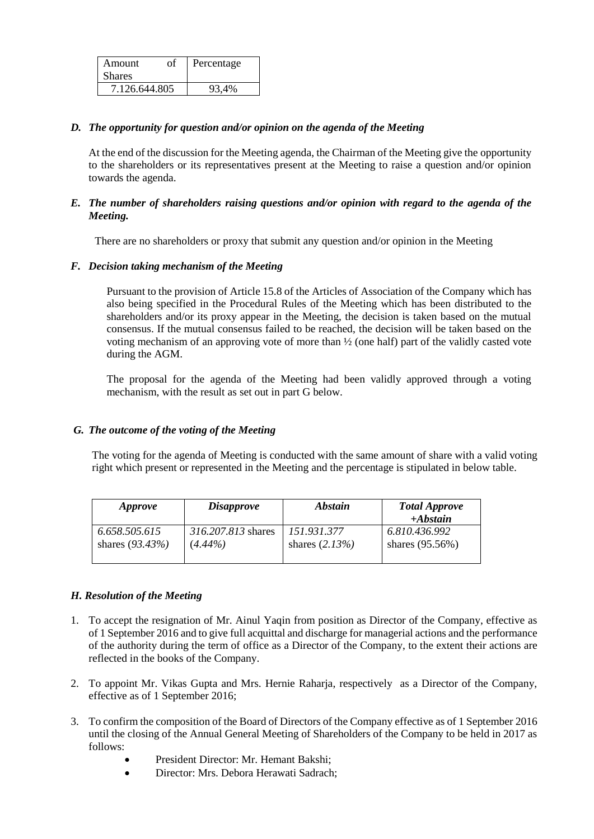| Amount        | οť    | Percentage |
|---------------|-------|------------|
| <b>Shares</b> |       |            |
| 7.126.644.805 | 93.4% |            |

### *D. The opportunity for question and/or opinion on the agenda of the Meeting*

At the end of the discussion for the Meeting agenda, the Chairman of the Meeting give the opportunity to the shareholders or its representatives present at the Meeting to raise a question and/or opinion towards the agenda.

# *E. The number of shareholders raising questions and/or opinion with regard to the agenda of the Meeting.*

There are no shareholders or proxy that submit any question and/or opinion in the Meeting

# *F. Decision taking mechanism of the Meeting*

Pursuant to the provision of Article 15.8 of the Articles of Association of the Company which has also being specified in the Procedural Rules of the Meeting which has been distributed to the shareholders and/or its proxy appear in the Meeting, the decision is taken based on the mutual consensus. If the mutual consensus failed to be reached, the decision will be taken based on the voting mechanism of an approving vote of more than ½ (one half) part of the validly casted vote during the AGM.

The proposal for the agenda of the Meeting had been validly approved through a voting mechanism, with the result as set out in part G below.

# *G. The outcome of the voting of the Meeting*

The voting for the agenda of Meeting is conducted with the same amount of share with a valid voting right which present or represented in the Meeting and the percentage is stipulated in below table.

| <i>Approve</i>     | <i>Disapprove</i>  | <b>Abstain</b>    | <b>Total Approve</b><br>$+Abstain$ |
|--------------------|--------------------|-------------------|------------------------------------|
| 6.658.505.615      | 316.207.813 shares | 151.931.377       | 6.810.436.992                      |
| shares $(93.43\%)$ | $(4.44\%)$         | shares $(2.13\%)$ | shares $(95.56%)$                  |

# *H. Resolution of the Meeting*

- 1. To accept the resignation of Mr. Ainul Yaqin from position as Director of the Company, effective as of 1 September 2016 and to give full acquittal and discharge for managerial actions and the performance of the authority during the term of office as a Director of the Company, to the extent their actions are reflected in the books of the Company.
- 2. To appoint Mr. Vikas Gupta and Mrs. Hernie Raharja, respectively as a Director of the Company, effective as of 1 September 2016;
- 3. To confirm the composition of the Board of Directors of the Company effective as of 1 September 2016 until the closing of the Annual General Meeting of Shareholders of the Company to be held in 2017 as follows:
	- President Director: Mr. Hemant Bakshi;
	- Director: Mrs. Debora Herawati Sadrach;